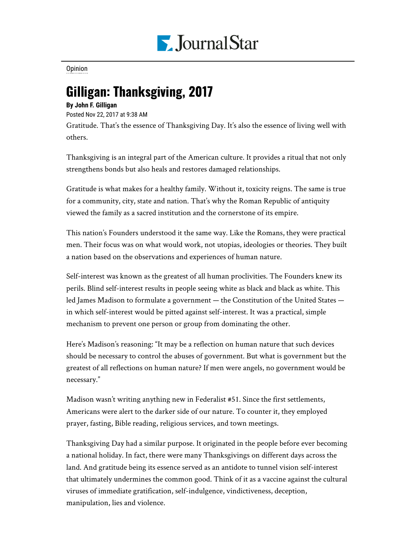

[Opinion](https://www.pjstar.com/search?text=Opinion)

## Gilligan: Thanksgiving, 2017

## **By John F. Gilligan**

Posted Nov 22, 2017 at 9:38 AM

Gratitude. That's the essence of Thanksgiving Day. It's also the essence of living well with others.

Thanksgiving is an integral part of the American culture. It provides a ritual that not only strengthens bonds but also heals and restores damaged relationships.

Gratitude is what makes for a healthy family. Without it, toxicity reigns. The same is true for a community, city, state and nation. That's why the Roman Republic of antiquity viewed the family as a sacred institution and the cornerstone of its empire.

This nation's Founders understood it the same way. Like the Romans, they were practical men. Their focus was on what would work, not utopias, ideologies or theories. They built a nation based on the observations and experiences of human nature.

Self-interest was known as the greatest of all human proclivities. The Founders knew its perils. Blind self-interest results in people seeing white as black and black as white. This led James Madison to formulate a government — the Constitution of the United States in which self-interest would be pitted against self-interest. It was a practical, simple mechanism to prevent one person or group from dominating the other.

Here's Madison's reasoning: "It may be a reflection on human nature that such devices should be necessary to control the abuses of government. But what is government but the greatest of all reflections on human nature? If men were angels, no government would be necessary."

Madison wasn't writing anything new in Federalist #51. Since the first settlements, Americans were alert to the darker side of our nature. To counter it, they employed prayer, fasting, Bible reading, religious services, and town meetings.

Thanksgiving Day had a similar purpose. It originated in the people before ever becoming a national holiday. In fact, there were many Thanksgivings on different days across the land. And gratitude being its essence served as an antidote to tunnel vision self-interest that ultimately undermines the common good. Think of it as a vaccine against the cultural viruses of immediate gratification, self-indulgence, vindictiveness, deception, manipulation, lies and violence.